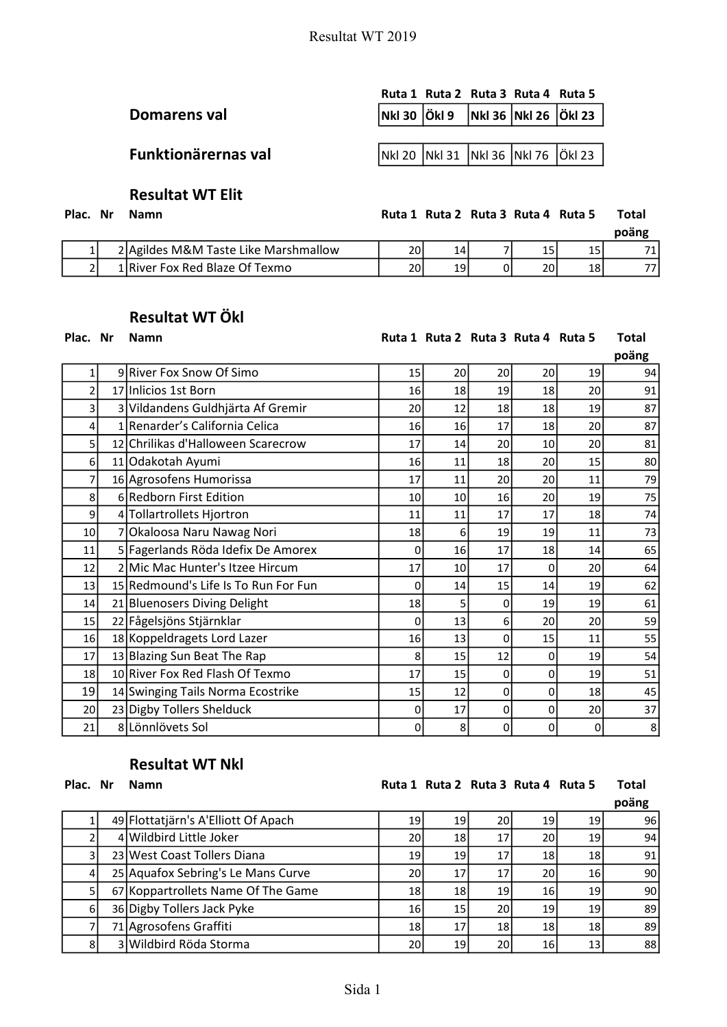|                     | Ruta 1 Ruta 2 Ruta 3 Ruta 4 Ruta 5 |  |                                    |
|---------------------|------------------------------------|--|------------------------------------|
| Domarens val        |                                    |  | Nki 30 Öki 9 Nki 36 Nki 26 Öki 23  |
|                     |                                    |  |                                    |
| Funktionärernas val |                                    |  | Nki 20 Nki 31 Nki 36 Nki 76 Öki 23 |
|                     |                                    |  |                                    |

## Resultat WT Elit

Plac. Nr Namn

| Ruta 1 Ruta 2 Ruta 3 Ruta 4 Ruta 5 |  |  |  |  |  | Total |
|------------------------------------|--|--|--|--|--|-------|
|------------------------------------|--|--|--|--|--|-------|

|  |                                      |      |    |    |    | poäng |
|--|--------------------------------------|------|----|----|----|-------|
|  | 2 Agildes M&M Taste Like Marshmallow | 201  | 14 | ᅩ  | τp |       |
|  | 1 River Fox Red Blaze Of Texmo       | 20 l | 19 | 20 | 18 |       |

# Resultat WT Ökl

#### Plac. Nr Namn **Namibia 2 Ruta 1 Ruta 2 Ruta 3 Ruta 4 Ruta 5 Total**

|                 |                                      |    |    |    |    |                 | poäng |
|-----------------|--------------------------------------|----|----|----|----|-----------------|-------|
| 1               | 9 River Fox Snow Of Simo             | 15 | 20 | 20 | 20 | 19              | 94    |
| 2               | 17 Inlicios 1st Born                 | 16 | 18 | 19 | 18 | 20              | 91    |
| 3               | 3 Vildandens Guldhjärta Af Gremir    | 20 | 12 | 18 | 18 | 19              | 87    |
| 4               | 1 Renarder's California Celica       | 16 | 16 | 17 | 18 | 20              | 87    |
| 5               | 12 Chrilikas d'Halloween Scarecrow   | 17 | 14 | 20 | 10 | 20              | 81    |
| $6 \mid$        | 11 Odakotah Ayumi                    | 16 | 11 | 18 | 20 | 15              | 80    |
| 7               | 16 Agrosofens Humorissa              | 17 | 11 | 20 | 20 | 11              | 79    |
| 8               | 6 Redborn First Edition              | 10 | 10 | 16 | 20 | 19              | 75    |
| 9               | 4 Tollartrollets Hjortron            | 11 | 11 | 17 | 17 | 18              | 74    |
| 10 <sup>1</sup> | 7 Okaloosa Naru Nawag Nori           | 18 | 6  | 19 | 19 | 11              | 73    |
| 11              | 5 Fagerlands Röda Idefix De Amorex   | 0  | 16 | 17 | 18 | 14              | 65    |
| 12              | 2 Mic Mac Hunter's Itzee Hircum      | 17 | 10 | 17 | 0  | 20              | 64    |
| 13              | 15 Redmound's Life Is To Run For Fun | 0  | 14 | 15 | 14 | 19              | 62    |
| 14              | 21 Bluenosers Diving Delight         | 18 | 5  | 0  | 19 | 19              | 61    |
| 15              | 22 Fågelsjöns Stjärnklar             | 0  | 13 | 6  | 20 | 20              | 59    |
| 16              | 18 Koppeldragets Lord Lazer          | 16 | 13 | 0  | 15 | 11              | 55    |
| 17              | 13 Blazing Sun Beat The Rap          | 8  | 15 | 12 | 0  | 19              | 54    |
| 18              | 10 River Fox Red Flash Of Texmo      | 17 | 15 | 0  | 0  | 19              | 51    |
| 19              | 14 Swinging Tails Norma Ecostrike    | 15 | 12 | 0  | 0  | 18              | 45    |
| 20 <sup>1</sup> | 23 Digby Tollers Shelduck            | 0  | 17 | 0  | 0  | 20 <sup>2</sup> | 37    |
| 21              | 8 Lönnlövets Sol                     | 0  | 8  | 0  | 0  | 0               | 8     |

### Resultat WT Nkl

## Plac. Nr Namn **Namid Communist Communist Communist Communist Communist Communist Communist Communist Communist Communist Communist Communist Communist Communist Communist Communist Communist Communist Communist Communist C**

|    |                                     |                 |                 |                 |                 |    | poäng           |
|----|-------------------------------------|-----------------|-----------------|-----------------|-----------------|----|-----------------|
|    | 49 Flottatjärn's A'Elliott Of Apach | 19 l            | 19              | 20 I            | 19              | 19 | 96I             |
|    | 4 Wildbird Little Joker             | 20I             | 18 <sub>l</sub> |                 | 20 <sub>1</sub> | 19 | 94              |
|    | 23 West Coast Tollers Diana         | 19 l            | 19 <sub>1</sub> |                 | 18              | 18 | 91              |
|    | 25 Aquafox Sebring's Le Mans Curve  | 20I             | 17              |                 | 20              | 16 | 90              |
|    | 67 Koppartrollets Name Of The Game  | 18 <sup>1</sup> | 18              | 19              | 16              | 19 | 90 <sub>1</sub> |
| 61 | 36 Digby Tollers Jack Pyke          | 16 l            | 15              | 20 <sub>l</sub> | 19              | 19 | 89              |
|    | 71 Agrosofens Graffiti              | 18I             | 17              | 18 l            | 18              | 18 | 89              |
| 81 | 3 Wildbird Röda Storma              | 20              | 19              | 20              | 16              | 13 | 88              |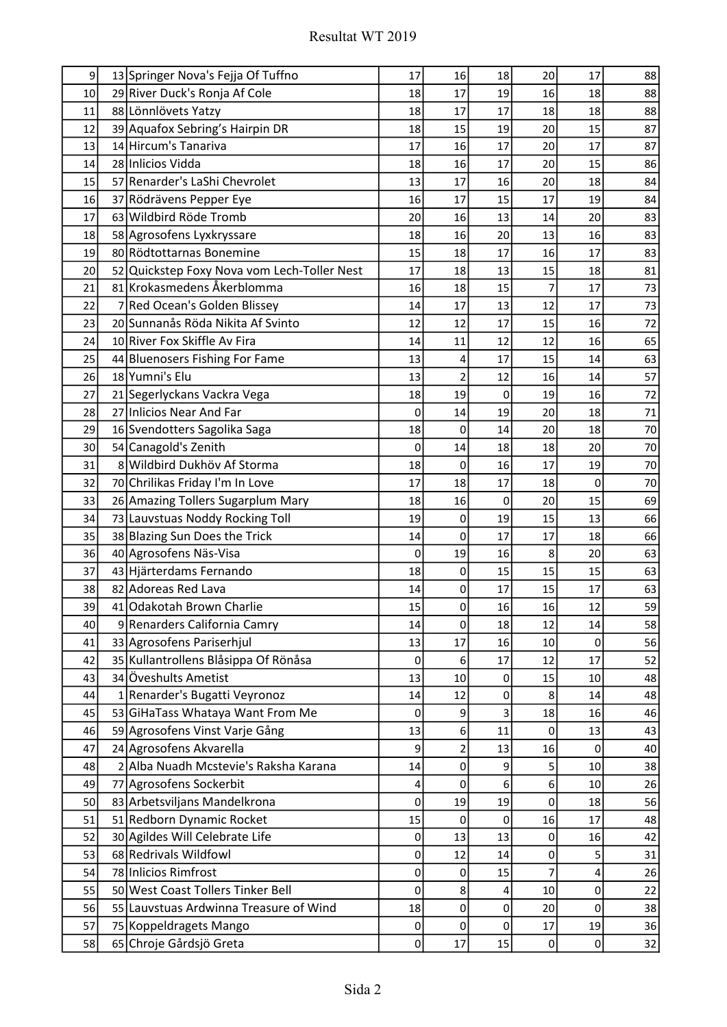| 9  | 13 Springer Nova's Fejja Of Tuffno          | 17        | 16                      | 18          | 20               | 17             | 88 |
|----|---------------------------------------------|-----------|-------------------------|-------------|------------------|----------------|----|
| 10 | 29 River Duck's Ronja Af Cole               | 18        | 17                      | 19          | 16               | 18             | 88 |
| 11 | 88 Lönnlövets Yatzy                         | 18        | 17                      | 17          | 18               | 18             | 88 |
| 12 | 39 Aquafox Sebring's Hairpin DR             | 18        | 15                      | 19          | 20               | 15             | 87 |
| 13 | 14 Hircum's Tanariva                        | 17        | 16                      | 17          | 20               | 17             | 87 |
| 14 | 28 Inlicios Vidda                           | 18        | 16                      | 17          | 20               | 15             | 86 |
| 15 | 57 Renarder's LaShi Chevrolet               | 13        | 17                      | 16          | 20               | 18             | 84 |
| 16 | 37 Rödrävens Pepper Eye                     | 16        | 17                      | 15          | 17               | 19             | 84 |
| 17 | 63 Wildbird Röde Tromb                      | 20        | 16                      | 13          | 14               | 20             | 83 |
| 18 | 58 Agrosofens Lyxkryssare                   | 18        | 16                      | 20          | 13               | 16             | 83 |
| 19 | 80 Rödtottarnas Bonemine                    | 15        | 18                      | 17          | 16               | 17             | 83 |
| 20 | 52 Quickstep Foxy Nova vom Lech-Toller Nest | 17        | 18                      | 13          | 15               | 18             | 81 |
| 21 | 81 Krokasmedens Åkerblomma                  | 16        | 18                      | 15          | 7                | 17             | 73 |
| 22 | 7 Red Ocean's Golden Blissey                | 14        | 17                      | 13          | 12               | 17             | 73 |
| 23 | 20 Sunnanås Röda Nikita Af Svinto           | 12        | 12                      | 17          | 15               | 16             | 72 |
| 24 | 10 River Fox Skiffle Av Fira                | 14        | 11                      | 12          | 12               | 16             | 65 |
| 25 | 44 Bluenosers Fishing For Fame              | 13        | 4                       | 17          | 15               | 14             | 63 |
| 26 | 18 Yumni's Elu                              | 13        | $\overline{\mathbf{c}}$ | 12          | 16               | 14             | 57 |
| 27 | 21 Segerlyckans Vackra Vega                 | 18        | 19                      | $\mathbf 0$ | 19               | 16             | 72 |
| 28 | 27 Inlicios Near And Far                    | 0         | 14                      | 19          | 20               | 18             | 71 |
| 29 | 16 Svendotters Sagolika Saga                | 18        | 0                       | 14          | 20               | 18             | 70 |
| 30 | 54 Canagold's Zenith                        | 0         | 14                      | 18          | 18               | 20             | 70 |
| 31 | 8 Wildbird Dukhöv Af Storma                 | 18        | 0                       | 16          | 17               | 19             | 70 |
| 32 | 70 Chrilikas Friday I'm In Love             | 17        | 18                      | 17          | 18               | 0              | 70 |
| 33 | 26 Amazing Tollers Sugarplum Mary           | 18        | 16                      | 0           | 20               | 15             | 69 |
| 34 | 73 Lauvstuas Noddy Rocking Toll             | 19        | 0                       | 19          | 15               | 13             | 66 |
| 35 | 38 Blazing Sun Does the Trick               | 14        | 0                       | 17          | 17               | 18             | 66 |
| 36 | 40 Agrosofens Näs-Visa                      | 0         | 19                      | 16          | 8                | 20             | 63 |
| 37 | 43 Hjärterdams Fernando                     | 18        | 0                       | 15          | 15               | 15             | 63 |
| 38 | 82 Adoreas Red Lava                         | 14        | 0                       | 17          | 15               | 17             | 63 |
| 39 | 41 Odakotah Brown Charlie                   | 15        | $\pmb{0}$               | 16          | 16               | 12             | 59 |
| 40 | 9 Renarders California Camry                | 14        | $\pmb{0}$               | 18          | 12               | 14             | 58 |
| 41 | 33 Agrosofens Pariserhjul                   | 13        | 17                      | 16          | 10               | 0              | 56 |
| 42 | 35 Kullantrollens Blåsippa Of Rönåsa        | 0         | 6                       | 17          | 12               | 17             | 52 |
| 43 | 34 Öveshults Ametist                        | 13        | 10                      | 0           | 15               | 10             | 48 |
| 44 | 1 Renarder's Bugatti Veyronoz               | 14        | 12                      | 0           | 8                | 14             | 48 |
| 45 | 53 GiHaTass Whataya Want From Me            | 0         | 9                       | 3           | 18               | 16             | 46 |
| 46 | 59 Agrosofens Vinst Varje Gång              | 13        | 6                       | 11          | 0                | 13             | 43 |
| 47 | 24 Agrosofens Akvarella                     | 9         | 2                       | 13          | 16               | 0              | 40 |
| 48 | 2 Alba Nuadh Mcstevie's Raksha Karana       | 14        | $\pmb{0}$               | 9           | 5                | 10             | 38 |
| 49 | 77 Agrosofens Sockerbit                     | 4         | 0                       | 6           | 6                | 10             | 26 |
| 50 | 83 Arbetsviljans Mandelkrona                | 0         | 19                      | 19          | 0                | 18             | 56 |
| 51 | 51 Redborn Dynamic Rocket                   | 15        | 0                       | 0           | 16               | 17             | 48 |
| 52 | 30 Agildes Will Celebrate Life              | $\pmb{0}$ | 13                      | 13          | 0                | 16             | 42 |
| 53 | 68 Redrivals Wildfowl                       | $\pmb{0}$ | 12                      | 14          | 0                | 5              | 31 |
| 54 | 78 Inlicios Rimfrost                        | $\pmb{0}$ | 0                       | 15          | 7                | 4              | 26 |
| 55 | 50 West Coast Tollers Tinker Bell           | 0         | 8                       | 4           | 10               | 0              | 22 |
| 56 | 55 Lauvstuas Ardwinna Treasure of Wind      | 18        | $\pmb{0}$               | 0           | 20               | 0              | 38 |
| 57 | 75 Koppeldragets Mango                      | $\pmb{0}$ | 0                       | 0           | 17               | 19             | 36 |
| 58 | 65 Chroje Gårdsjö Greta                     | 0         | 17                      | 15          | $\boldsymbol{0}$ | $\overline{0}$ | 32 |